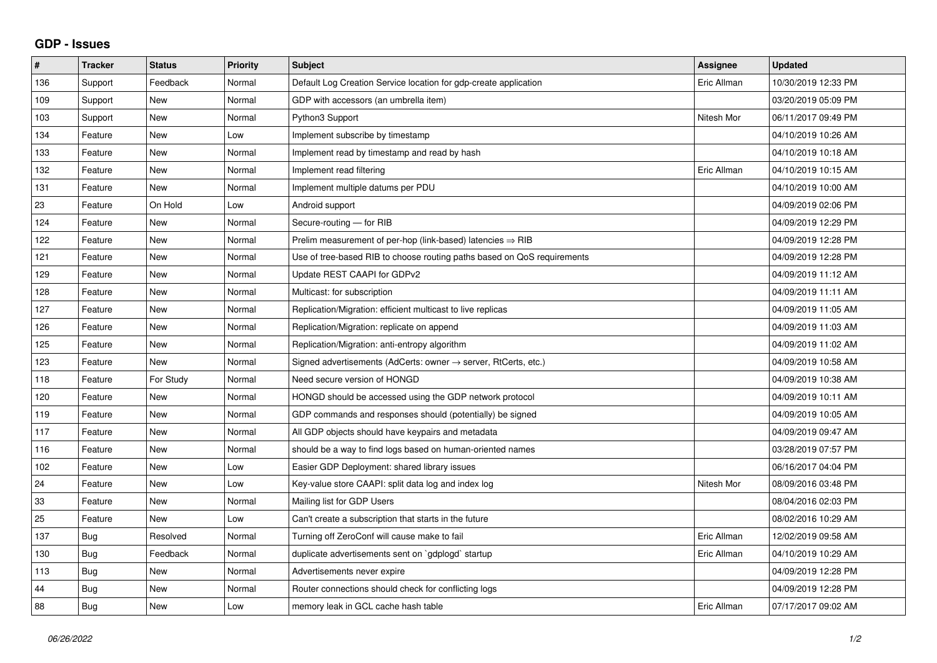## **GDP - Issues**

| #   | <b>Tracker</b> | <b>Status</b> | <b>Priority</b> | <b>Subject</b>                                                          | Assignee    | <b>Updated</b>      |
|-----|----------------|---------------|-----------------|-------------------------------------------------------------------------|-------------|---------------------|
| 136 | Support        | Feedback      | Normal          | Default Log Creation Service location for gdp-create application        | Eric Allman | 10/30/2019 12:33 PM |
| 109 | Support        | <b>New</b>    | Normal          | GDP with accessors (an umbrella item)                                   |             | 03/20/2019 05:09 PM |
| 103 | Support        | <b>New</b>    | Normal          | Python3 Support                                                         | Nitesh Mor  | 06/11/2017 09:49 PM |
| 134 | Feature        | <b>New</b>    | Low             | Implement subscribe by timestamp                                        |             | 04/10/2019 10:26 AM |
| 133 | Feature        | <b>New</b>    | Normal          | Implement read by timestamp and read by hash                            |             | 04/10/2019 10:18 AM |
| 132 | Feature        | <b>New</b>    | Normal          | Implement read filtering                                                | Eric Allman | 04/10/2019 10:15 AM |
| 131 | Feature        | <b>New</b>    | Normal          | Implement multiple datums per PDU                                       |             | 04/10/2019 10:00 AM |
| 23  | Feature        | On Hold       | Low             | Android support                                                         |             | 04/09/2019 02:06 PM |
| 124 | Feature        | <b>New</b>    | Normal          | Secure-routing - for RIB                                                |             | 04/09/2019 12:29 PM |
| 122 | Feature        | <b>New</b>    | Normal          | Prelim measurement of per-hop (link-based) latencies $\Rightarrow$ RIB  |             | 04/09/2019 12:28 PM |
| 121 | Feature        | <b>New</b>    | Normal          | Use of tree-based RIB to choose routing paths based on QoS requirements |             | 04/09/2019 12:28 PM |
| 129 | Feature        | <b>New</b>    | Normal          | Update REST CAAPI for GDPv2                                             |             | 04/09/2019 11:12 AM |
| 128 | Feature        | <b>New</b>    | Normal          | Multicast: for subscription                                             |             | 04/09/2019 11:11 AM |
| 127 | Feature        | <b>New</b>    | Normal          | Replication/Migration: efficient multicast to live replicas             |             | 04/09/2019 11:05 AM |
| 126 | Feature        | <b>New</b>    | Normal          | Replication/Migration: replicate on append                              |             | 04/09/2019 11:03 AM |
| 125 | Feature        | <b>New</b>    | Normal          | Replication/Migration: anti-entropy algorithm                           |             | 04/09/2019 11:02 AM |
| 123 | Feature        | <b>New</b>    | Normal          | Signed advertisements (AdCerts: owner → server, RtCerts, etc.)          |             | 04/09/2019 10:58 AM |
| 118 | Feature        | For Study     | Normal          | Need secure version of HONGD                                            |             | 04/09/2019 10:38 AM |
| 120 | Feature        | <b>New</b>    | Normal          | HONGD should be accessed using the GDP network protocol                 |             | 04/09/2019 10:11 AM |
| 119 | Feature        | New           | Normal          | GDP commands and responses should (potentially) be signed               |             | 04/09/2019 10:05 AM |
| 117 | Feature        | <b>New</b>    | Normal          | All GDP objects should have keypairs and metadata                       |             | 04/09/2019 09:47 AM |
| 116 | Feature        | <b>New</b>    | Normal          | should be a way to find logs based on human-oriented names              |             | 03/28/2019 07:57 PM |
| 102 | Feature        | <b>New</b>    | Low             | Easier GDP Deployment: shared library issues                            |             | 06/16/2017 04:04 PM |
| 24  | Feature        | <b>New</b>    | Low             | Key-value store CAAPI: split data log and index log                     | Nitesh Mor  | 08/09/2016 03:48 PM |
| 33  | Feature        | <b>New</b>    | Normal          | Mailing list for GDP Users                                              |             | 08/04/2016 02:03 PM |
| 25  | Feature        | <b>New</b>    | Low             | Can't create a subscription that starts in the future                   |             | 08/02/2016 10:29 AM |
| 137 | Bug            | Resolved      | Normal          | Turning off ZeroConf will cause make to fail                            | Eric Allman | 12/02/2019 09:58 AM |
| 130 | Bug            | Feedback      | Normal          | duplicate advertisements sent on `gdplogd` startup                      | Eric Allman | 04/10/2019 10:29 AM |
| 113 | Bug            | <b>New</b>    | Normal          | Advertisements never expire                                             |             | 04/09/2019 12:28 PM |
| 44  | Bug            | New           | Normal          | Router connections should check for conflicting logs                    |             | 04/09/2019 12:28 PM |
| 88  | Bug            | <b>New</b>    | Low             | memory leak in GCL cache hash table                                     | Eric Allman | 07/17/2017 09:02 AM |